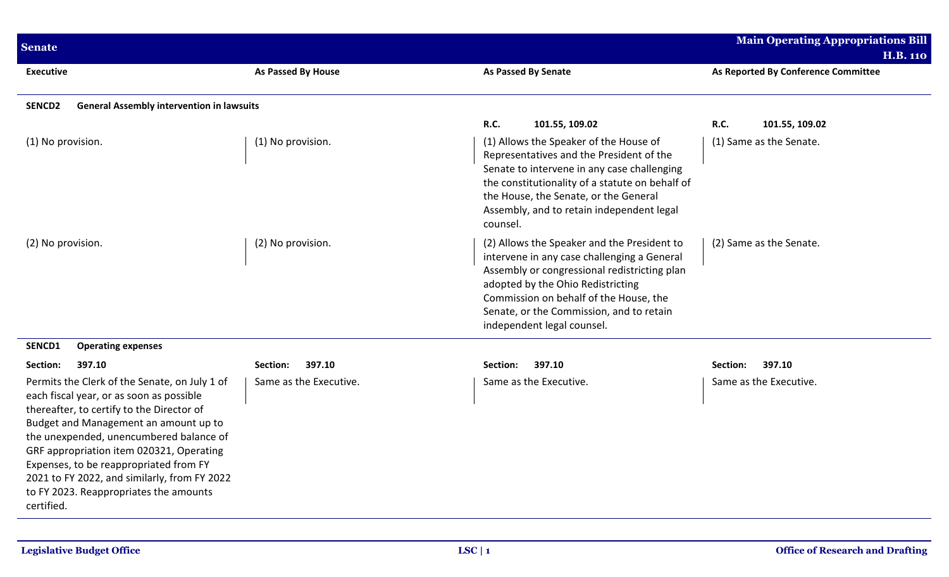| <b>Senate</b>                                                                                                                                                                                                                                                                                                                                                                                                                                  |                                              |                                                                                                                                                                                                                                                                                                                         | <b>Main Operating Appropriations Bill</b><br><b>H.B. 110</b> |
|------------------------------------------------------------------------------------------------------------------------------------------------------------------------------------------------------------------------------------------------------------------------------------------------------------------------------------------------------------------------------------------------------------------------------------------------|----------------------------------------------|-------------------------------------------------------------------------------------------------------------------------------------------------------------------------------------------------------------------------------------------------------------------------------------------------------------------------|--------------------------------------------------------------|
| <b>Executive</b>                                                                                                                                                                                                                                                                                                                                                                                                                               | <b>As Passed By House</b>                    | As Passed By Senate                                                                                                                                                                                                                                                                                                     | As Reported By Conference Committee                          |
| <b>General Assembly intervention in lawsuits</b><br>SENCD <sub>2</sub>                                                                                                                                                                                                                                                                                                                                                                         |                                              |                                                                                                                                                                                                                                                                                                                         |                                                              |
| (1) No provision.                                                                                                                                                                                                                                                                                                                                                                                                                              | (1) No provision.                            | <b>R.C.</b><br>101.55, 109.02<br>(1) Allows the Speaker of the House of<br>Representatives and the President of the<br>Senate to intervene in any case challenging<br>the constitutionality of a statute on behalf of<br>the House, the Senate, or the General<br>Assembly, and to retain independent legal<br>counsel. | <b>R.C.</b><br>101.55, 109.02<br>(1) Same as the Senate.     |
| (2) No provision.                                                                                                                                                                                                                                                                                                                                                                                                                              | (2) No provision.                            | (2) Allows the Speaker and the President to<br>intervene in any case challenging a General<br>Assembly or congressional redistricting plan<br>adopted by the Ohio Redistricting<br>Commission on behalf of the House, the<br>Senate, or the Commission, and to retain<br>independent legal counsel.                     | (2) Same as the Senate.                                      |
| SENCD1<br><b>Operating expenses</b>                                                                                                                                                                                                                                                                                                                                                                                                            |                                              |                                                                                                                                                                                                                                                                                                                         |                                                              |
| Section:<br>397.10<br>Permits the Clerk of the Senate, on July 1 of<br>each fiscal year, or as soon as possible<br>thereafter, to certify to the Director of<br>Budget and Management an amount up to<br>the unexpended, unencumbered balance of<br>GRF appropriation item 020321, Operating<br>Expenses, to be reappropriated from FY<br>2021 to FY 2022, and similarly, from FY 2022<br>to FY 2023. Reappropriates the amounts<br>certified. | 397.10<br>Section:<br>Same as the Executive. | 397.10<br>Section:<br>Same as the Executive.                                                                                                                                                                                                                                                                            | 397.10<br>Section:<br>Same as the Executive.                 |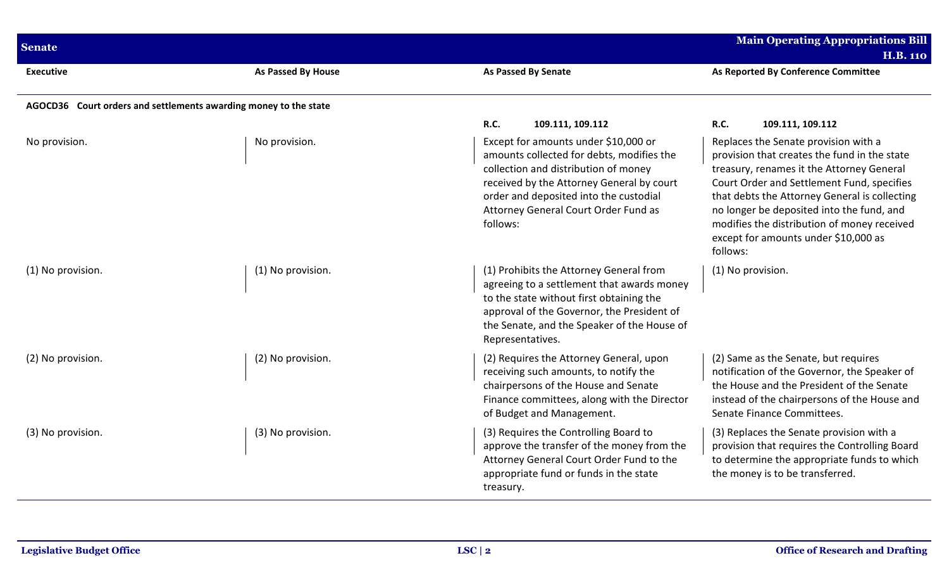| <b>Senate</b>                                                    |                           |                                                                                                                                                                                                                                                                      | <b>Main Operating Appropriations Bill</b><br><b>H.B. 110</b>                                                                                                                                                                                                                                                                                                                     |
|------------------------------------------------------------------|---------------------------|----------------------------------------------------------------------------------------------------------------------------------------------------------------------------------------------------------------------------------------------------------------------|----------------------------------------------------------------------------------------------------------------------------------------------------------------------------------------------------------------------------------------------------------------------------------------------------------------------------------------------------------------------------------|
| <b>Executive</b>                                                 | <b>As Passed By House</b> | <b>As Passed By Senate</b>                                                                                                                                                                                                                                           | As Reported By Conference Committee                                                                                                                                                                                                                                                                                                                                              |
| AGOCD36 Court orders and settlements awarding money to the state |                           |                                                                                                                                                                                                                                                                      |                                                                                                                                                                                                                                                                                                                                                                                  |
|                                                                  |                           | <b>R.C.</b><br>109.111, 109.112                                                                                                                                                                                                                                      | R.C.<br>109.111, 109.112                                                                                                                                                                                                                                                                                                                                                         |
| No provision.                                                    | No provision.             | Except for amounts under \$10,000 or<br>amounts collected for debts, modifies the<br>collection and distribution of money<br>received by the Attorney General by court<br>order and deposited into the custodial<br>Attorney General Court Order Fund as<br>follows: | Replaces the Senate provision with a<br>provision that creates the fund in the state<br>treasury, renames it the Attorney General<br>Court Order and Settlement Fund, specifies<br>that debts the Attorney General is collecting<br>no longer be deposited into the fund, and<br>modifies the distribution of money received<br>except for amounts under \$10,000 as<br>follows: |
| (1) No provision.                                                | (1) No provision.         | (1) Prohibits the Attorney General from<br>agreeing to a settlement that awards money<br>to the state without first obtaining the<br>approval of the Governor, the President of<br>the Senate, and the Speaker of the House of<br>Representatives.                   | (1) No provision.                                                                                                                                                                                                                                                                                                                                                                |
| (2) No provision.                                                | (2) No provision.         | (2) Requires the Attorney General, upon<br>receiving such amounts, to notify the<br>chairpersons of the House and Senate<br>Finance committees, along with the Director<br>of Budget and Management.                                                                 | (2) Same as the Senate, but requires<br>notification of the Governor, the Speaker of<br>the House and the President of the Senate<br>instead of the chairpersons of the House and<br>Senate Finance Committees.                                                                                                                                                                  |
| (3) No provision.                                                | (3) No provision.         | (3) Requires the Controlling Board to<br>approve the transfer of the money from the<br>Attorney General Court Order Fund to the<br>appropriate fund or funds in the state<br>treasury.                                                                               | (3) Replaces the Senate provision with a<br>provision that requires the Controlling Board<br>to determine the appropriate funds to which<br>the money is to be transferred.                                                                                                                                                                                                      |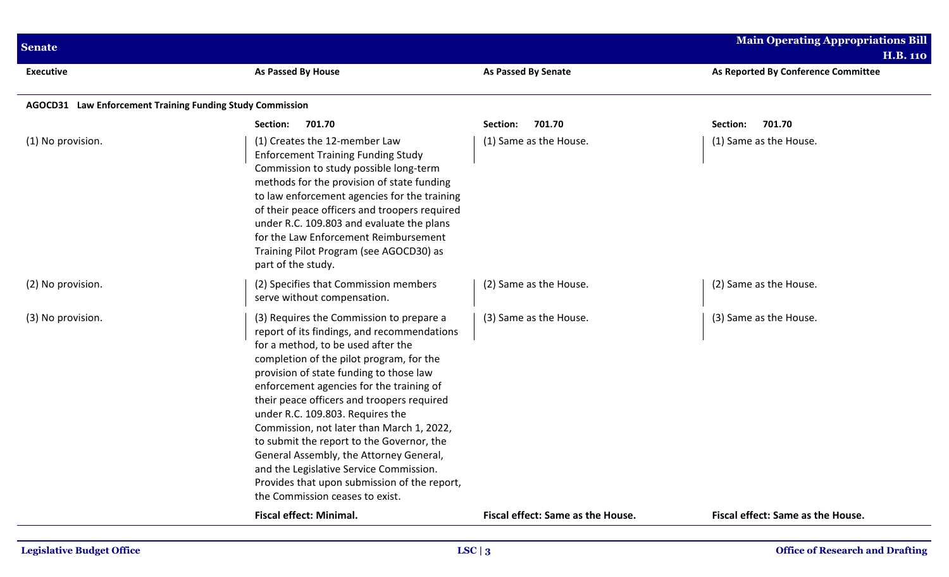| <b>Senate</b>                                             |                                                                                                                                                                                                                                                                                                                                                                                                                                                                                                                                                                                                                       |                                   | <b>Main Operating Appropriations Bill</b><br><b>H.B. 110</b> |
|-----------------------------------------------------------|-----------------------------------------------------------------------------------------------------------------------------------------------------------------------------------------------------------------------------------------------------------------------------------------------------------------------------------------------------------------------------------------------------------------------------------------------------------------------------------------------------------------------------------------------------------------------------------------------------------------------|-----------------------------------|--------------------------------------------------------------|
| <b>Executive</b>                                          | As Passed By House                                                                                                                                                                                                                                                                                                                                                                                                                                                                                                                                                                                                    | As Passed By Senate               | As Reported By Conference Committee                          |
| AGOCD31 Law Enforcement Training Funding Study Commission |                                                                                                                                                                                                                                                                                                                                                                                                                                                                                                                                                                                                                       |                                   |                                                              |
|                                                           | 701.70<br>Section:                                                                                                                                                                                                                                                                                                                                                                                                                                                                                                                                                                                                    | 701.70<br>Section:                | 701.70<br>Section:                                           |
| (1) No provision.                                         | (1) Creates the 12-member Law<br><b>Enforcement Training Funding Study</b><br>Commission to study possible long-term<br>methods for the provision of state funding<br>to law enforcement agencies for the training<br>of their peace officers and troopers required<br>under R.C. 109.803 and evaluate the plans<br>for the Law Enforcement Reimbursement<br>Training Pilot Program (see AGOCD30) as<br>part of the study.                                                                                                                                                                                            | (1) Same as the House.            | (1) Same as the House.                                       |
| (2) No provision.                                         | (2) Specifies that Commission members<br>serve without compensation.                                                                                                                                                                                                                                                                                                                                                                                                                                                                                                                                                  | (2) Same as the House.            | (2) Same as the House.                                       |
| (3) No provision.                                         | (3) Requires the Commission to prepare a<br>report of its findings, and recommendations<br>for a method, to be used after the<br>completion of the pilot program, for the<br>provision of state funding to those law<br>enforcement agencies for the training of<br>their peace officers and troopers required<br>under R.C. 109.803. Requires the<br>Commission, not later than March 1, 2022,<br>to submit the report to the Governor, the<br>General Assembly, the Attorney General,<br>and the Legislative Service Commission.<br>Provides that upon submission of the report,<br>the Commission ceases to exist. | (3) Same as the House.            | (3) Same as the House.                                       |
|                                                           | <b>Fiscal effect: Minimal.</b>                                                                                                                                                                                                                                                                                                                                                                                                                                                                                                                                                                                        | Fiscal effect: Same as the House. | Fiscal effect: Same as the House.                            |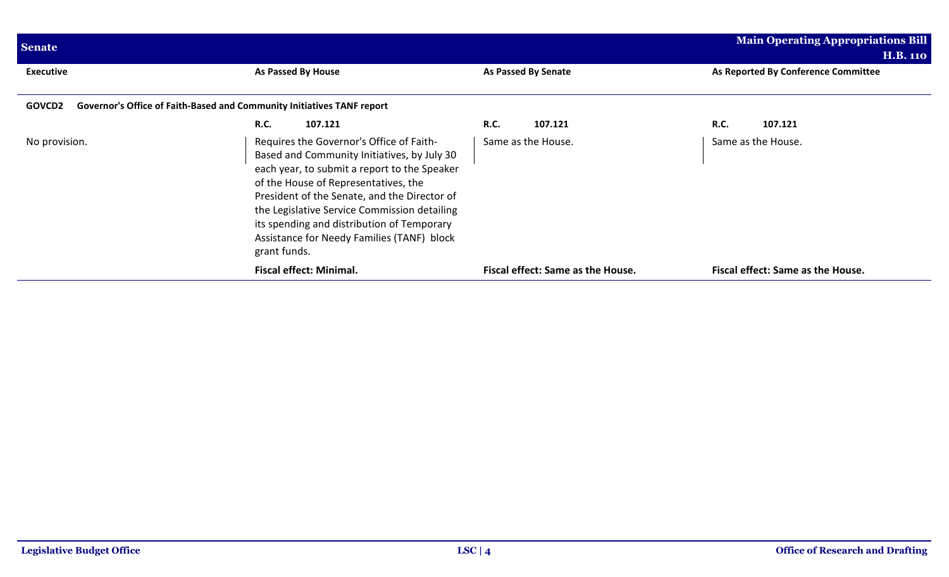| <b>Senate</b>    |                                                                                                                                                                                                                                                                                                                                                                                             |                                   | <b>Main Operating Appropriations Bill</b><br>H.B. 110 |
|------------------|---------------------------------------------------------------------------------------------------------------------------------------------------------------------------------------------------------------------------------------------------------------------------------------------------------------------------------------------------------------------------------------------|-----------------------------------|-------------------------------------------------------|
| <b>Executive</b> | As Passed By House                                                                                                                                                                                                                                                                                                                                                                          | <b>As Passed By Senate</b>        | As Reported By Conference Committee                   |
| <b>GOVCD2</b>    | Governor's Office of Faith-Based and Community Initiatives TANF report                                                                                                                                                                                                                                                                                                                      |                                   |                                                       |
|                  | <b>R.C.</b><br>107.121                                                                                                                                                                                                                                                                                                                                                                      | <b>R.C.</b><br>107.121            | <b>R.C.</b><br>107.121                                |
| No provision.    | Requires the Governor's Office of Faith-<br>Based and Community Initiatives, by July 30<br>each year, to submit a report to the Speaker<br>of the House of Representatives, the<br>President of the Senate, and the Director of<br>the Legislative Service Commission detailing<br>its spending and distribution of Temporary<br>Assistance for Needy Families (TANF) block<br>grant funds. | Same as the House.                | Same as the House.                                    |
|                  | <b>Fiscal effect: Minimal.</b>                                                                                                                                                                                                                                                                                                                                                              | Fiscal effect: Same as the House. | Fiscal effect: Same as the House.                     |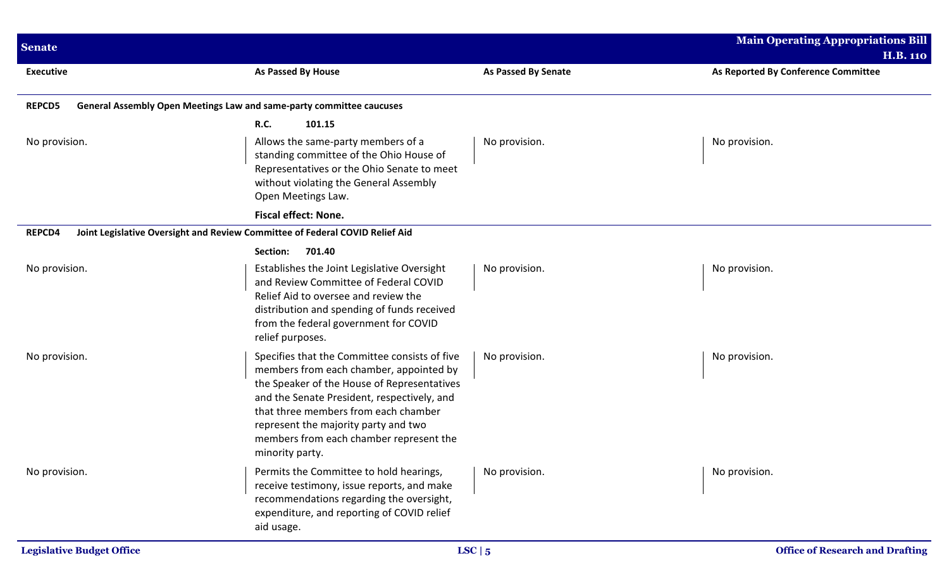| <b>Senate</b>                                                                          |                                                                                                                                                                                                                                                                                                                                      |                            | <b>Main Operating Appropriations Bill</b><br><b>H.B. 110</b> |
|----------------------------------------------------------------------------------------|--------------------------------------------------------------------------------------------------------------------------------------------------------------------------------------------------------------------------------------------------------------------------------------------------------------------------------------|----------------------------|--------------------------------------------------------------|
| <b>Executive</b>                                                                       | <b>As Passed By House</b>                                                                                                                                                                                                                                                                                                            | <b>As Passed By Senate</b> | As Reported By Conference Committee                          |
| General Assembly Open Meetings Law and same-party committee caucuses<br><b>REPCD5</b>  |                                                                                                                                                                                                                                                                                                                                      |                            |                                                              |
| No provision.                                                                          | <b>R.C.</b><br>101.15<br>Allows the same-party members of a<br>standing committee of the Ohio House of<br>Representatives or the Ohio Senate to meet<br>without violating the General Assembly<br>Open Meetings Law.                                                                                                                 | No provision.              | No provision.                                                |
|                                                                                        | <b>Fiscal effect: None.</b>                                                                                                                                                                                                                                                                                                          |                            |                                                              |
| REPCD4<br>Joint Legislative Oversight and Review Committee of Federal COVID Relief Aid |                                                                                                                                                                                                                                                                                                                                      |                            |                                                              |
|                                                                                        | 701.40<br>Section:                                                                                                                                                                                                                                                                                                                   |                            |                                                              |
| No provision.                                                                          | Establishes the Joint Legislative Oversight<br>and Review Committee of Federal COVID<br>Relief Aid to oversee and review the<br>distribution and spending of funds received<br>from the federal government for COVID<br>relief purposes.                                                                                             | No provision.              | No provision.                                                |
| No provision.                                                                          | Specifies that the Committee consists of five<br>members from each chamber, appointed by<br>the Speaker of the House of Representatives<br>and the Senate President, respectively, and<br>that three members from each chamber<br>represent the majority party and two<br>members from each chamber represent the<br>minority party. | No provision.              | No provision.                                                |
| No provision.                                                                          | Permits the Committee to hold hearings,<br>receive testimony, issue reports, and make<br>recommendations regarding the oversight,<br>expenditure, and reporting of COVID relief<br>aid usage.                                                                                                                                        | No provision.              | No provision.                                                |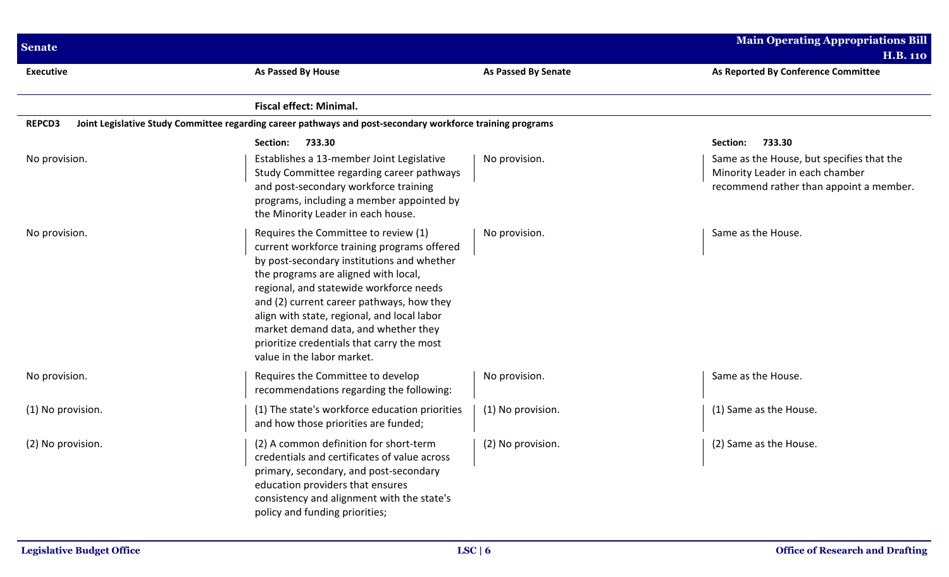| <b>Senate</b>     |                                                                                                                                                                                                                                                                                                                                                                                                                                      |                            | <b>Main Operating Appropriations Bill</b><br><b>H.B. 110</b>                                                            |
|-------------------|--------------------------------------------------------------------------------------------------------------------------------------------------------------------------------------------------------------------------------------------------------------------------------------------------------------------------------------------------------------------------------------------------------------------------------------|----------------------------|-------------------------------------------------------------------------------------------------------------------------|
| <b>Executive</b>  | As Passed By House                                                                                                                                                                                                                                                                                                                                                                                                                   | <b>As Passed By Senate</b> | As Reported By Conference Committee                                                                                     |
|                   | <b>Fiscal effect: Minimal.</b>                                                                                                                                                                                                                                                                                                                                                                                                       |                            |                                                                                                                         |
| <b>REPCD3</b>     | Joint Legislative Study Committee regarding career pathways and post-secondary workforce training programs                                                                                                                                                                                                                                                                                                                           |                            |                                                                                                                         |
|                   | Section:<br>733.30                                                                                                                                                                                                                                                                                                                                                                                                                   |                            | 733.30<br>Section:                                                                                                      |
| No provision.     | Establishes a 13-member Joint Legislative<br>Study Committee regarding career pathways<br>and post-secondary workforce training<br>programs, including a member appointed by<br>the Minority Leader in each house.                                                                                                                                                                                                                   | No provision.              | Same as the House, but specifies that the<br>Minority Leader in each chamber<br>recommend rather than appoint a member. |
| No provision.     | Requires the Committee to review (1)<br>current workforce training programs offered<br>by post-secondary institutions and whether<br>the programs are aligned with local,<br>regional, and statewide workforce needs<br>and (2) current career pathways, how they<br>align with state, regional, and local labor<br>market demand data, and whether they<br>prioritize credentials that carry the most<br>value in the labor market. | No provision.              | Same as the House.                                                                                                      |
| No provision.     | Requires the Committee to develop<br>recommendations regarding the following:                                                                                                                                                                                                                                                                                                                                                        | No provision.              | Same as the House.                                                                                                      |
| (1) No provision. | (1) The state's workforce education priorities<br>and how those priorities are funded;                                                                                                                                                                                                                                                                                                                                               | (1) No provision.          | (1) Same as the House.                                                                                                  |
| (2) No provision. | (2) A common definition for short-term<br>credentials and certificates of value across<br>primary, secondary, and post-secondary<br>education providers that ensures<br>consistency and alignment with the state's<br>policy and funding priorities;                                                                                                                                                                                 | (2) No provision.          | (2) Same as the House.                                                                                                  |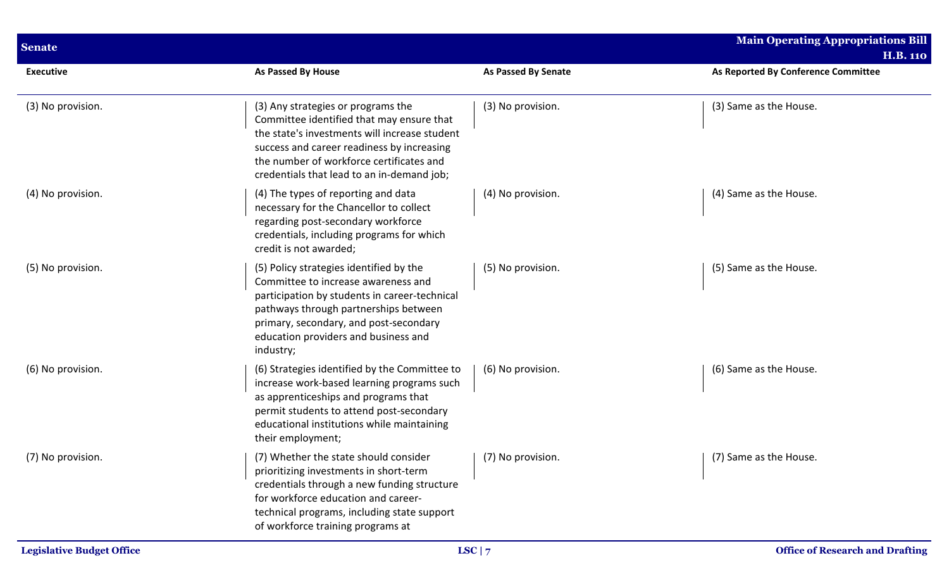| <b>Senate</b>     |                                                                                                                                                                                                                                                                          |                            | <b>Main Operating Appropriations Bill</b><br><b>H.B. 110</b> |
|-------------------|--------------------------------------------------------------------------------------------------------------------------------------------------------------------------------------------------------------------------------------------------------------------------|----------------------------|--------------------------------------------------------------|
| <b>Executive</b>  | <b>As Passed By House</b>                                                                                                                                                                                                                                                | <b>As Passed By Senate</b> | As Reported By Conference Committee                          |
| (3) No provision. | (3) Any strategies or programs the<br>Committee identified that may ensure that<br>the state's investments will increase student<br>success and career readiness by increasing<br>the number of workforce certificates and<br>credentials that lead to an in-demand job; | (3) No provision.          | (3) Same as the House.                                       |
| (4) No provision. | (4) The types of reporting and data<br>necessary for the Chancellor to collect<br>regarding post-secondary workforce<br>credentials, including programs for which<br>credit is not awarded;                                                                              | (4) No provision.          | (4) Same as the House.                                       |
| (5) No provision. | (5) Policy strategies identified by the<br>Committee to increase awareness and<br>participation by students in career-technical<br>pathways through partnerships between<br>primary, secondary, and post-secondary<br>education providers and business and<br>industry;  | (5) No provision.          | (5) Same as the House.                                       |
| (6) No provision. | (6) Strategies identified by the Committee to<br>increase work-based learning programs such<br>as apprenticeships and programs that<br>permit students to attend post-secondary<br>educational institutions while maintaining<br>their employment;                       | (6) No provision.          | (6) Same as the House.                                       |
| (7) No provision. | (7) Whether the state should consider<br>prioritizing investments in short-term<br>credentials through a new funding structure<br>for workforce education and career-<br>technical programs, including state support<br>of workforce training programs at                | $\vert$ (7) No provision.  | (7) Same as the House.                                       |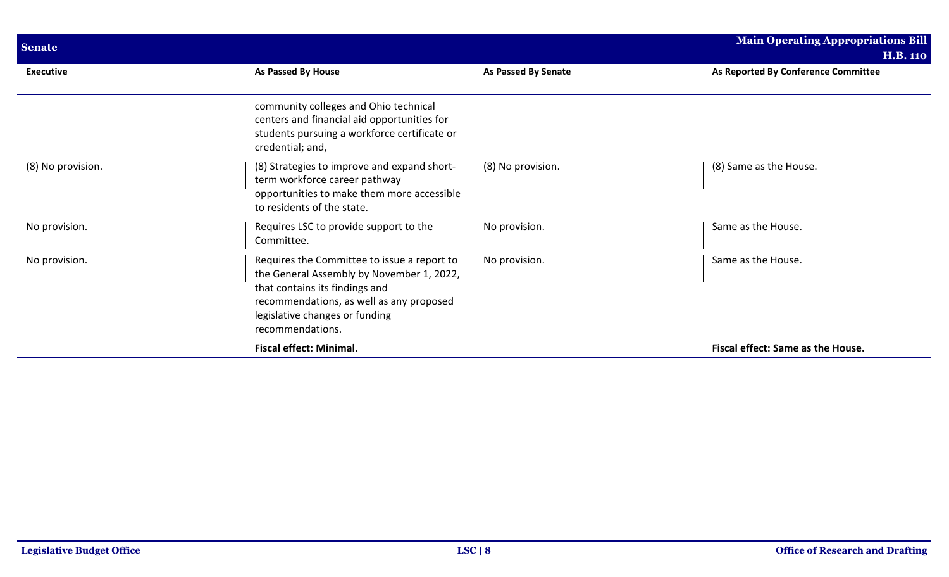| <b>Senate</b>     |                                                                                                                                                                                                                              |                            | <b>Main Operating Appropriations Bill</b><br><b>H.B. 110</b> |
|-------------------|------------------------------------------------------------------------------------------------------------------------------------------------------------------------------------------------------------------------------|----------------------------|--------------------------------------------------------------|
| <b>Executive</b>  | <b>As Passed By House</b>                                                                                                                                                                                                    | <b>As Passed By Senate</b> | As Reported By Conference Committee                          |
|                   | community colleges and Ohio technical<br>centers and financial aid opportunities for<br>students pursuing a workforce certificate or<br>credential; and,                                                                     |                            |                                                              |
| (8) No provision. | (8) Strategies to improve and expand short-<br>term workforce career pathway<br>opportunities to make them more accessible<br>to residents of the state.                                                                     | (8) No provision.          | (8) Same as the House.                                       |
| No provision.     | Requires LSC to provide support to the<br>Committee.                                                                                                                                                                         | No provision.              | Same as the House.                                           |
| No provision.     | Requires the Committee to issue a report to<br>the General Assembly by November 1, 2022,<br>that contains its findings and<br>recommendations, as well as any proposed<br>legislative changes or funding<br>recommendations. | No provision.              | Same as the House.                                           |
|                   | <b>Fiscal effect: Minimal.</b>                                                                                                                                                                                               |                            | Fiscal effect: Same as the House.                            |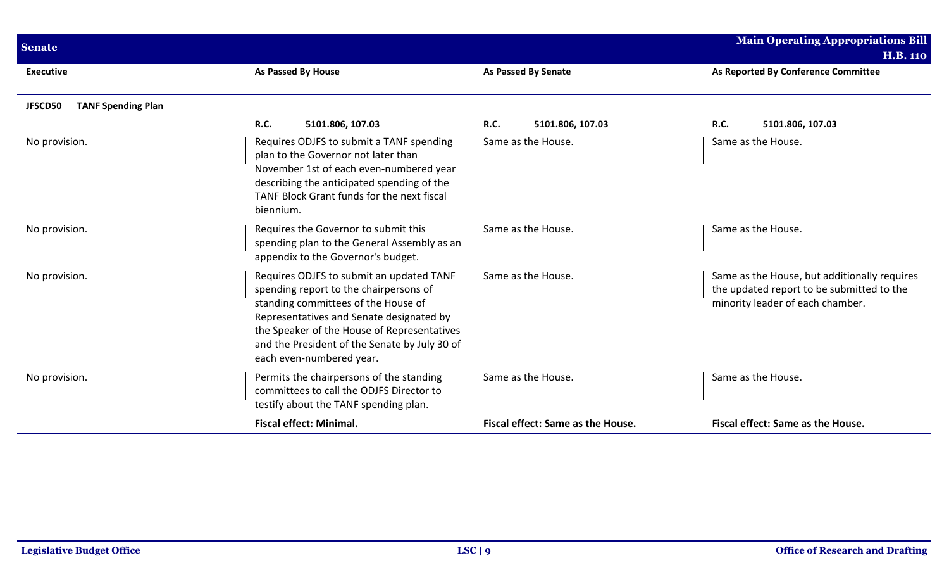| <b>Senate</b>                        |                                                                                                                                                                                                                                                                                                   |                                   | <b>Main Operating Appropriations Bill</b><br><b>H.B. 110</b>                                                                  |
|--------------------------------------|---------------------------------------------------------------------------------------------------------------------------------------------------------------------------------------------------------------------------------------------------------------------------------------------------|-----------------------------------|-------------------------------------------------------------------------------------------------------------------------------|
| <b>Executive</b>                     | As Passed By House                                                                                                                                                                                                                                                                                | <b>As Passed By Senate</b>        | As Reported By Conference Committee                                                                                           |
| <b>TANF Spending Plan</b><br>JFSCD50 |                                                                                                                                                                                                                                                                                                   |                                   |                                                                                                                               |
|                                      | <b>R.C.</b><br>5101.806, 107.03                                                                                                                                                                                                                                                                   | <b>R.C.</b><br>5101.806, 107.03   | R.C.<br>5101.806, 107.03                                                                                                      |
| No provision.                        | Requires ODJFS to submit a TANF spending<br>plan to the Governor not later than<br>November 1st of each even-numbered year<br>describing the anticipated spending of the<br>TANF Block Grant funds for the next fiscal<br>biennium.                                                               | Same as the House.                | Same as the House.                                                                                                            |
| No provision.                        | Requires the Governor to submit this<br>spending plan to the General Assembly as an<br>appendix to the Governor's budget.                                                                                                                                                                         | Same as the House.                | Same as the House.                                                                                                            |
| No provision.                        | Requires ODJFS to submit an updated TANF<br>spending report to the chairpersons of<br>standing committees of the House of<br>Representatives and Senate designated by<br>the Speaker of the House of Representatives<br>and the President of the Senate by July 30 of<br>each even-numbered year. | Same as the House.                | Same as the House, but additionally requires<br>the updated report to be submitted to the<br>minority leader of each chamber. |
| No provision.                        | Permits the chairpersons of the standing<br>committees to call the ODJFS Director to<br>testify about the TANF spending plan.                                                                                                                                                                     | Same as the House.                | Same as the House.                                                                                                            |
|                                      | <b>Fiscal effect: Minimal.</b>                                                                                                                                                                                                                                                                    | Fiscal effect: Same as the House. | Fiscal effect: Same as the House.                                                                                             |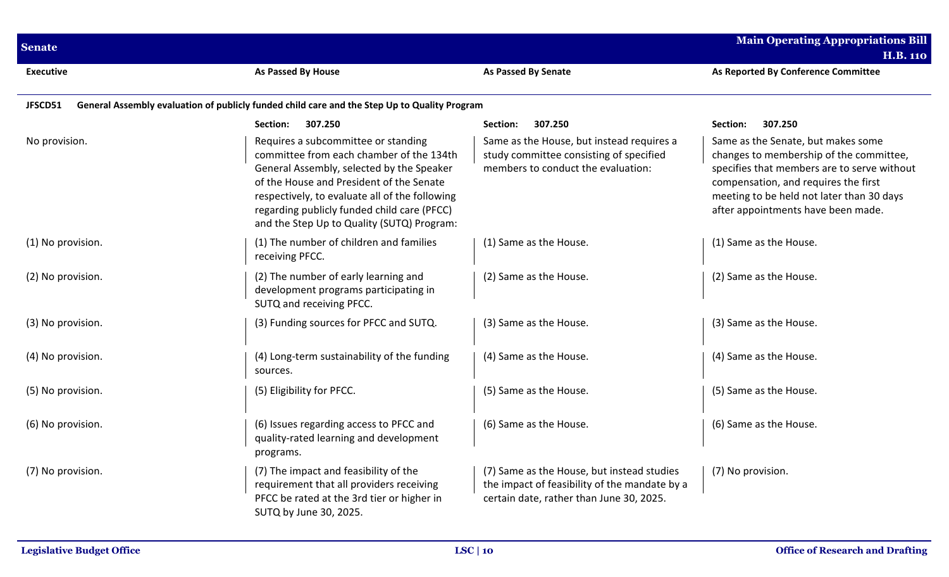| <b>Senate</b>     |                                                                                                                                                                                                                                                                                                                         |                                                                                                                                         | <b>Main Operating Appropriations Bill</b><br><b>H.B. 110</b>                                                                                                                                                                                            |
|-------------------|-------------------------------------------------------------------------------------------------------------------------------------------------------------------------------------------------------------------------------------------------------------------------------------------------------------------------|-----------------------------------------------------------------------------------------------------------------------------------------|---------------------------------------------------------------------------------------------------------------------------------------------------------------------------------------------------------------------------------------------------------|
| <b>Executive</b>  | As Passed By House                                                                                                                                                                                                                                                                                                      | As Passed By Senate                                                                                                                     | As Reported By Conference Committee                                                                                                                                                                                                                     |
| JFSCD51           | General Assembly evaluation of publicly funded child care and the Step Up to Quality Program                                                                                                                                                                                                                            |                                                                                                                                         |                                                                                                                                                                                                                                                         |
|                   | 307.250<br>Section:                                                                                                                                                                                                                                                                                                     | Section:<br>307.250                                                                                                                     | 307.250<br>Section:                                                                                                                                                                                                                                     |
| No provision.     | Requires a subcommittee or standing<br>committee from each chamber of the 134th<br>General Assembly, selected by the Speaker<br>of the House and President of the Senate<br>respectively, to evaluate all of the following<br>regarding publicly funded child care (PFCC)<br>and the Step Up to Quality (SUTQ) Program: | Same as the House, but instead requires a<br>study committee consisting of specified<br>members to conduct the evaluation:              | Same as the Senate, but makes some<br>changes to membership of the committee,<br>specifies that members are to serve without<br>compensation, and requires the first<br>meeting to be held not later than 30 days<br>after appointments have been made. |
| (1) No provision. | (1) The number of children and families<br>receiving PFCC.                                                                                                                                                                                                                                                              | (1) Same as the House.                                                                                                                  | (1) Same as the House.                                                                                                                                                                                                                                  |
| (2) No provision. | (2) The number of early learning and<br>development programs participating in<br>SUTQ and receiving PFCC.                                                                                                                                                                                                               | (2) Same as the House.                                                                                                                  | (2) Same as the House.                                                                                                                                                                                                                                  |
| (3) No provision. | (3) Funding sources for PFCC and SUTQ.                                                                                                                                                                                                                                                                                  | (3) Same as the House.                                                                                                                  | (3) Same as the House.                                                                                                                                                                                                                                  |
| (4) No provision. | (4) Long-term sustainability of the funding<br>sources.                                                                                                                                                                                                                                                                 | (4) Same as the House.                                                                                                                  | (4) Same as the House.                                                                                                                                                                                                                                  |
| (5) No provision. | (5) Eligibility for PFCC.                                                                                                                                                                                                                                                                                               | (5) Same as the House.                                                                                                                  | (5) Same as the House.                                                                                                                                                                                                                                  |
| (6) No provision. | (6) Issues regarding access to PFCC and<br>quality-rated learning and development<br>programs.                                                                                                                                                                                                                          | (6) Same as the House.                                                                                                                  | (6) Same as the House.                                                                                                                                                                                                                                  |
| (7) No provision. | (7) The impact and feasibility of the<br>requirement that all providers receiving<br>PFCC be rated at the 3rd tier or higher in<br>SUTQ by June 30, 2025.                                                                                                                                                               | (7) Same as the House, but instead studies<br>the impact of feasibility of the mandate by a<br>certain date, rather than June 30, 2025. | (7) No provision.                                                                                                                                                                                                                                       |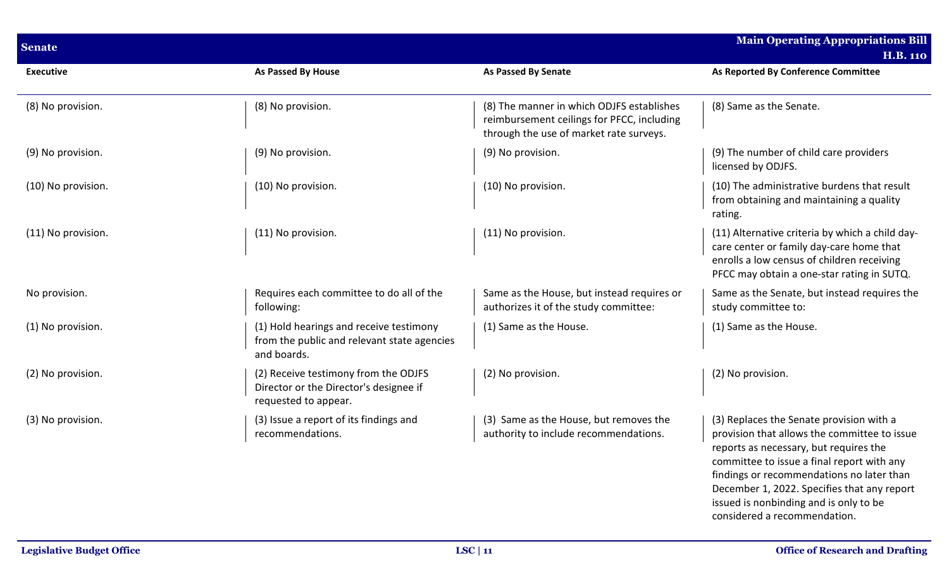| <b>Senate</b>      |                                                                                                        |                                                                                                                                    | <b>Main Operating Appropriations Bill</b>                                                                                                                                                                                                                                                                                                              |
|--------------------|--------------------------------------------------------------------------------------------------------|------------------------------------------------------------------------------------------------------------------------------------|--------------------------------------------------------------------------------------------------------------------------------------------------------------------------------------------------------------------------------------------------------------------------------------------------------------------------------------------------------|
| <b>Executive</b>   | As Passed By House                                                                                     | As Passed By Senate                                                                                                                | <b>H.B. 110</b><br>As Reported By Conference Committee                                                                                                                                                                                                                                                                                                 |
| (8) No provision.  | (8) No provision.                                                                                      | (8) The manner in which ODJFS establishes<br>reimbursement ceilings for PFCC, including<br>through the use of market rate surveys. | (8) Same as the Senate.                                                                                                                                                                                                                                                                                                                                |
| (9) No provision.  | (9) No provision.                                                                                      | (9) No provision.                                                                                                                  | (9) The number of child care providers<br>licensed by ODJFS.                                                                                                                                                                                                                                                                                           |
| (10) No provision. | (10) No provision.                                                                                     | (10) No provision.                                                                                                                 | (10) The administrative burdens that result<br>from obtaining and maintaining a quality<br>rating.                                                                                                                                                                                                                                                     |
| (11) No provision. | (11) No provision.                                                                                     | (11) No provision.                                                                                                                 | (11) Alternative criteria by which a child day-<br>care center or family day-care home that<br>enrolls a low census of children receiving<br>PFCC may obtain a one-star rating in SUTQ.                                                                                                                                                                |
| No provision.      | Requires each committee to do all of the<br>following:                                                 | Same as the House, but instead requires or<br>authorizes it of the study committee:                                                | Same as the Senate, but instead requires the<br>study committee to:                                                                                                                                                                                                                                                                                    |
| (1) No provision.  | (1) Hold hearings and receive testimony<br>from the public and relevant state agencies<br>and boards.  | (1) Same as the House.                                                                                                             | (1) Same as the House.                                                                                                                                                                                                                                                                                                                                 |
| (2) No provision.  | (2) Receive testimony from the ODJFS<br>Director or the Director's designee if<br>requested to appear. | (2) No provision.                                                                                                                  | (2) No provision.                                                                                                                                                                                                                                                                                                                                      |
| (3) No provision.  | (3) Issue a report of its findings and<br>recommendations.                                             | (3) Same as the House, but removes the<br>authority to include recommendations.                                                    | (3) Replaces the Senate provision with a<br>provision that allows the committee to issue<br>reports as necessary, but requires the<br>committee to issue a final report with any<br>findings or recommendations no later than<br>December 1, 2022. Specifies that any report<br>issued is nonbinding and is only to be<br>considered a recommendation. |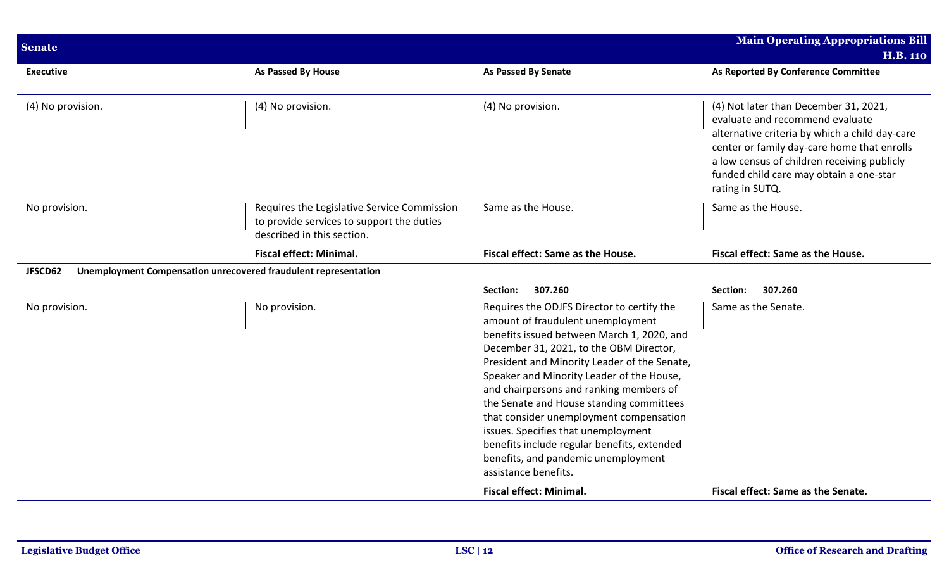| <b>Senate</b>                                                              |                                                                                                                        |                                                                                                                                                                                                                                                                                                                                                                                                                                                                                                                                                              | <b>Main Operating Appropriations Bill</b><br><b>H.B. 110</b>                                                                                                                                                                                                                           |
|----------------------------------------------------------------------------|------------------------------------------------------------------------------------------------------------------------|--------------------------------------------------------------------------------------------------------------------------------------------------------------------------------------------------------------------------------------------------------------------------------------------------------------------------------------------------------------------------------------------------------------------------------------------------------------------------------------------------------------------------------------------------------------|----------------------------------------------------------------------------------------------------------------------------------------------------------------------------------------------------------------------------------------------------------------------------------------|
| <b>Executive</b>                                                           | As Passed By House                                                                                                     | As Passed By Senate                                                                                                                                                                                                                                                                                                                                                                                                                                                                                                                                          | As Reported By Conference Committee                                                                                                                                                                                                                                                    |
| (4) No provision.                                                          | (4) No provision.                                                                                                      | (4) No provision.                                                                                                                                                                                                                                                                                                                                                                                                                                                                                                                                            | (4) Not later than December 31, 2021,<br>evaluate and recommend evaluate<br>alternative criteria by which a child day-care<br>center or family day-care home that enrolls<br>a low census of children receiving publicly<br>funded child care may obtain a one-star<br>rating in SUTQ. |
| No provision.                                                              | Requires the Legislative Service Commission<br>to provide services to support the duties<br>described in this section. | Same as the House.                                                                                                                                                                                                                                                                                                                                                                                                                                                                                                                                           | Same as the House.                                                                                                                                                                                                                                                                     |
|                                                                            | <b>Fiscal effect: Minimal.</b>                                                                                         | Fiscal effect: Same as the House.                                                                                                                                                                                                                                                                                                                                                                                                                                                                                                                            | Fiscal effect: Same as the House.                                                                                                                                                                                                                                                      |
| Unemployment Compensation unrecovered fraudulent representation<br>JFSCD62 |                                                                                                                        |                                                                                                                                                                                                                                                                                                                                                                                                                                                                                                                                                              |                                                                                                                                                                                                                                                                                        |
|                                                                            |                                                                                                                        | 307.260<br>Section:                                                                                                                                                                                                                                                                                                                                                                                                                                                                                                                                          | 307.260<br>Section:                                                                                                                                                                                                                                                                    |
| No provision.                                                              | No provision.                                                                                                          | Requires the ODJFS Director to certify the<br>amount of fraudulent unemployment<br>benefits issued between March 1, 2020, and<br>December 31, 2021, to the OBM Director,<br>President and Minority Leader of the Senate,<br>Speaker and Minority Leader of the House,<br>and chairpersons and ranking members of<br>the Senate and House standing committees<br>that consider unemployment compensation<br>issues. Specifies that unemployment<br>benefits include regular benefits, extended<br>benefits, and pandemic unemployment<br>assistance benefits. | Same as the Senate.                                                                                                                                                                                                                                                                    |
|                                                                            |                                                                                                                        | <b>Fiscal effect: Minimal.</b>                                                                                                                                                                                                                                                                                                                                                                                                                                                                                                                               | Fiscal effect: Same as the Senate.                                                                                                                                                                                                                                                     |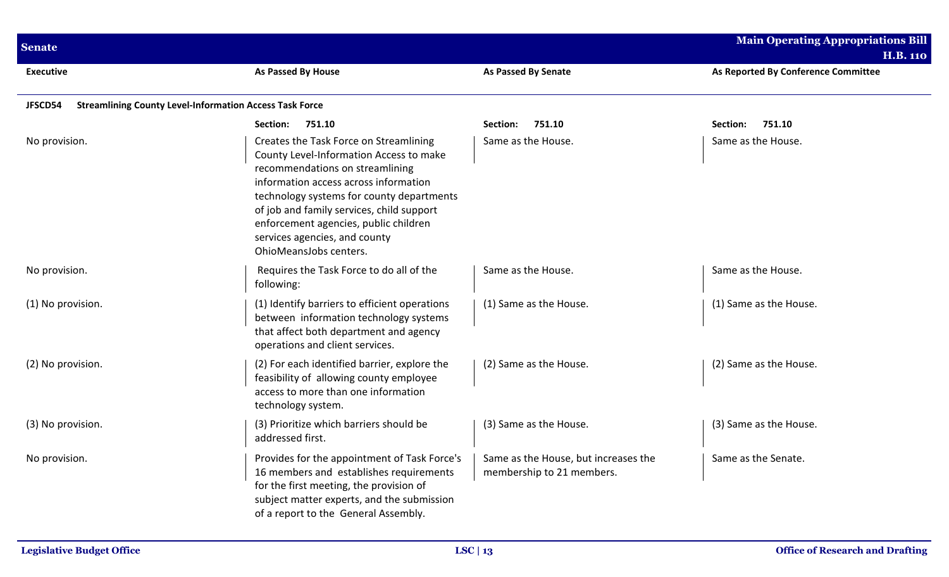| <b>Main Operating Appropriations Bill</b><br><b>Senate</b> |                                                                                                                                                                                                                                                                                                                                                             |                                                                   |                                                        |  |
|------------------------------------------------------------|-------------------------------------------------------------------------------------------------------------------------------------------------------------------------------------------------------------------------------------------------------------------------------------------------------------------------------------------------------------|-------------------------------------------------------------------|--------------------------------------------------------|--|
| <b>Executive</b>                                           | As Passed By House                                                                                                                                                                                                                                                                                                                                          | <b>As Passed By Senate</b>                                        | <b>H.B. 110</b><br>As Reported By Conference Committee |  |
| JFSCD54                                                    | <b>Streamlining County Level-Information Access Task Force</b>                                                                                                                                                                                                                                                                                              |                                                                   |                                                        |  |
|                                                            | <b>Section:</b><br>751.10                                                                                                                                                                                                                                                                                                                                   | 751.10<br>Section:                                                | 751.10<br>Section:                                     |  |
| No provision.                                              | Creates the Task Force on Streamlining<br>County Level-Information Access to make<br>recommendations on streamlining<br>information access across information<br>technology systems for county departments<br>of job and family services, child support<br>enforcement agencies, public children<br>services agencies, and county<br>OhioMeansJobs centers. | Same as the House.                                                | Same as the House.                                     |  |
| No provision.                                              | Requires the Task Force to do all of the<br>following:                                                                                                                                                                                                                                                                                                      | Same as the House.                                                | Same as the House.                                     |  |
| (1) No provision.                                          | (1) Identify barriers to efficient operations<br>between information technology systems<br>that affect both department and agency<br>operations and client services.                                                                                                                                                                                        | (1) Same as the House.                                            | (1) Same as the House.                                 |  |
| (2) No provision.                                          | (2) For each identified barrier, explore the<br>feasibility of allowing county employee<br>access to more than one information<br>technology system.                                                                                                                                                                                                        | (2) Same as the House.                                            | (2) Same as the House.                                 |  |
| (3) No provision.                                          | (3) Prioritize which barriers should be<br>addressed first.                                                                                                                                                                                                                                                                                                 | (3) Same as the House.                                            | (3) Same as the House.                                 |  |
| No provision.                                              | Provides for the appointment of Task Force's<br>16 members and establishes requirements<br>for the first meeting, the provision of<br>subject matter experts, and the submission<br>of a report to the General Assembly.                                                                                                                                    | Same as the House, but increases the<br>membership to 21 members. | Same as the Senate.                                    |  |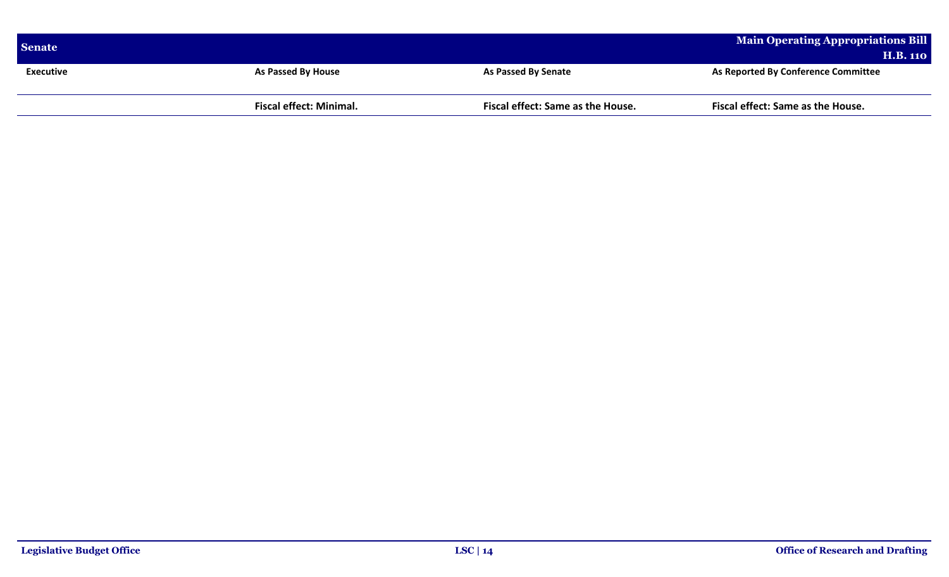| Senate    |                                |                                   | Main Operating Appropriations Bill  |
|-----------|--------------------------------|-----------------------------------|-------------------------------------|
|           |                                |                                   | <b>H.B. 110</b>                     |
| Executive | <b>As Passed By House</b>      | <b>As Passed By Senate</b>        | As Reported By Conference Committee |
|           |                                |                                   |                                     |
|           | <b>Fiscal effect: Minimal.</b> | Fiscal effect: Same as the House. | Fiscal effect: Same as the House.   |